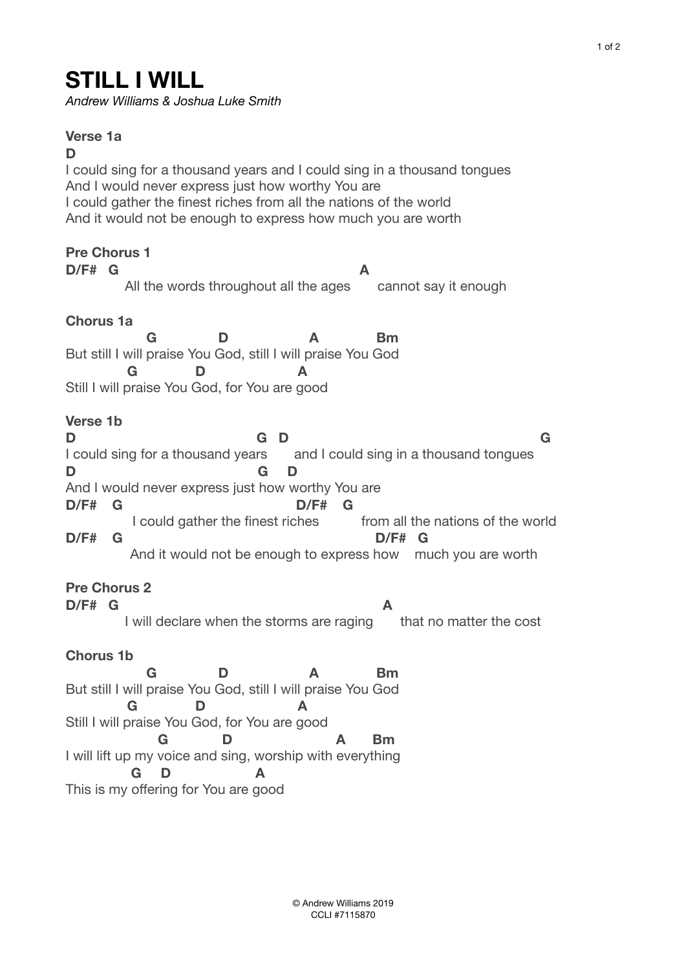## **STILL I WILL**

*Andrew Williams & Joshua Luke Smith* 

**Verse 1a D** I could sing for a thousand years and I could sing in a thousand tongues And I would never express just how worthy You are I could gather the finest riches from all the nations of the world And it would not be enough to express how much you are worth **Pre Chorus 1 D/F# G A** All the words throughout all the ages cannot say it enough **Chorus 1a G D A Bm**  But still I will praise You God, still I will praise You God  **G D A**  Still I will praise You God, for You are good **Verse 1b D G D G**  I could sing for a thousand years and I could sing in a thousand tongues **D G D**  And I would never express just how worthy You are **D/F# G D/F# G**  I could gather the finest riches from all the nations of the world **D/F# G D/F# G**  And it would not be enough to express how much you are worth **Pre Chorus 2 D/F# G A** I will declare when the storms are raging that no matter the cost **Chorus 1b G D A Bm**  But still I will praise You God, still I will praise You God  **G D A**  Still I will praise You God, for You are good  **G D A Bm**  I will lift up my voice and sing, worship with everything **G D A**  This is my offering for You are good